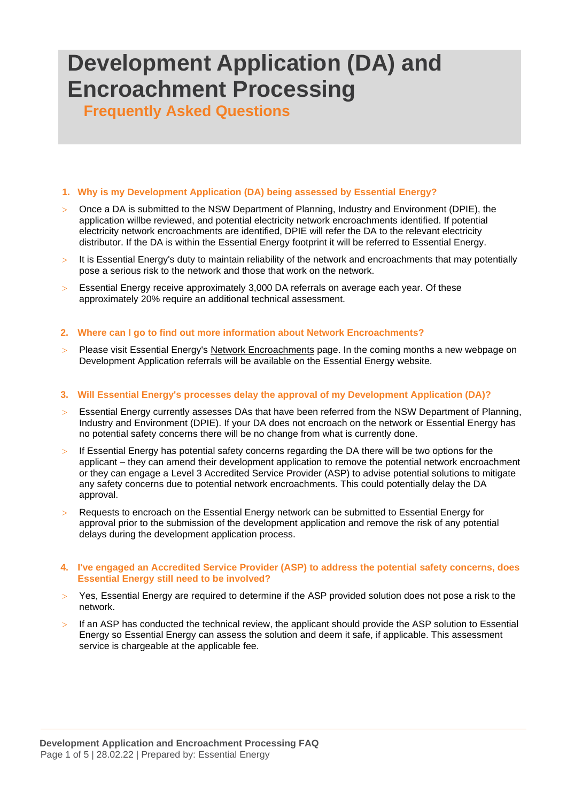# **Development Application (DA) and Encroachment Processing**

 **Frequently Asked Questions**

## **1. Why is my Development Application (DA) being assessed by Essential Energy?**

- Once a DA is submitted to the NSW Department of Planning, Industry and Environment (DPIE), the application willbe reviewed, and potential electricity network encroachments identified. If potential electricity network encroachments are identified, DPIE will refer the DA to the relevant electricity distributor. If the DA is within the Essential Energy footprint it will be referred to Essential Energy.
- It is Essential Energy's duty to maintain reliability of the network and encroachments that may potentially pose a serious risk to the network and those that work on the network.
- Essential Energy receive approximately 3,000 DA referrals on average each year. Of these approximately 20% require an additional technical assessment.

## **2. Where can I go to find out more information about Network Encroachments?**

 Please visit Essential Energy's [Network Encroachments](https://www.essentialenergy.com.au/our-network/encroachments) page. In the coming months a new webpage on Development Application referrals will be available on the Essential Energy website.

### **3. Will Essential Energy's processes delay the approval of my Development Application (DA)?**

- Essential Energy currently assesses DAs that have been referred from the NSW Department of Planning, Industry and Environment (DPIE). If your DA does not encroach on the network or Essential Energy has no potential safety concerns there will be no change from what is currently done.
- $>$  If Essential Energy has potential safety concerns regarding the DA there will be two options for the applicant – they can amend their development application to remove the potential network encroachment or they can engage a Level 3 Accredited Service Provider (ASP) to advise potential solutions to mitigate any safety concerns due to potential network encroachments. This could potentially delay the DA approval.
- Requests to encroach on the Essential Energy network can be submitted to Essential Energy for approval prior to the submission of the development application and remove the risk of any potential delays during the development application process.

## **4. I've engaged an Accredited Service Provider (ASP) to address the potential safety concerns, does Essential Energy still need to be involved?**

- Yes, Essential Energy are required to determine if the ASP provided solution does not pose a risk to the network.
- $>$  If an ASP has conducted the technical review, the applicant should provide the ASP solution to Essential Energy so Essential Energy can assess the solution and deem it safe, if applicable. This assessment service is chargeable at the applicable fee.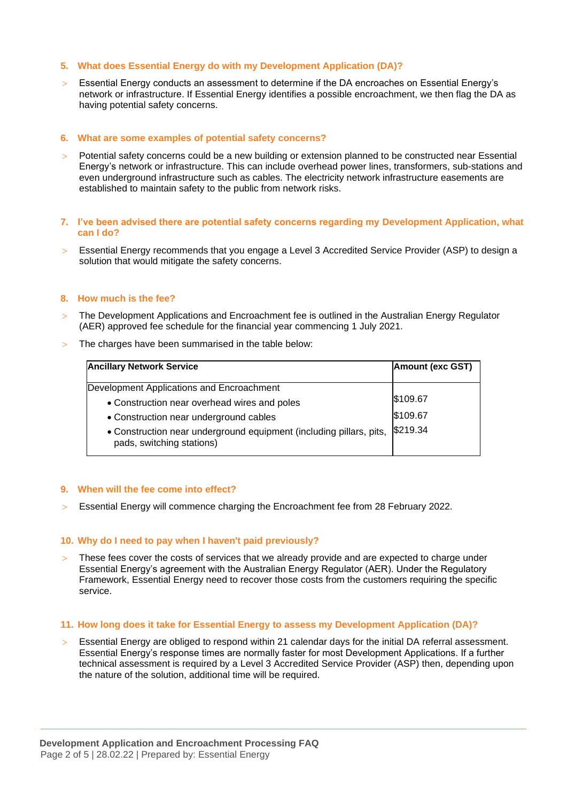## **5. What does Essential Energy do with my Development Application (DA)?**

 Essential Energy conducts an assessment to determine if the DA encroaches on Essential Energy's network or infrastructure. If Essential Energy identifies a possible encroachment, we then flag the DA as having potential safety concerns.

# **6. What are some examples of potential safety concerns?**

 Potential safety concerns could be a new building or extension planned to be constructed near Essential Energy's network or infrastructure. This can include overhead power lines, transformers, sub-stations and even underground infrastructure such as cables. The electricity network infrastructure easements are established to maintain safety to the public from network risks.

### **7. I've been advised there are potential safety concerns regarding my Development Application, what can I do?**

 Essential Energy recommends that you engage a Level 3 Accredited Service Provider (ASP) to design a solution that would mitigate the safety concerns.

## **8. How much is the fee?**

- The Development Applications and Encroachment fee is outlined in the Australian Energy Regulator (AER) approved fee schedule for the financial year commencing 1 July 2021.
- > The charges have been summarised in the table below:

| <b>Ancillary Network Service</b>                                                                 | <b>Amount (exc GST)</b> |
|--------------------------------------------------------------------------------------------------|-------------------------|
| Development Applications and Encroachment                                                        |                         |
| • Construction near overhead wires and poles                                                     | \$109.67                |
| • Construction near underground cables                                                           | \$109.67                |
| • Construction near underground equipment (including pillars, pits,<br>pads, switching stations) | \$219.34                |

### **9. When will the fee come into effect?**

Essential Energy will commence charging the Encroachment fee from 28 February 2022.

### **10. Why do I need to pay when I haven't paid previously?**

 These fees cover the costs of services that we already provide and are expected to charge under Essential Energy's agreement with the Australian Energy Regulator (AER). Under the Regulatory Framework, Essential Energy need to recover those costs from the customers requiring the specific service.

### **11. How long does it take for Essential Energy to assess my Development Application (DA)?**

 Essential Energy are obliged to respond within 21 calendar days for the initial DA referral assessment. Essential Energy's response times are normally faster for most Development Applications. If a further technical assessment is required by a Level 3 Accredited Service Provider (ASP) then, depending upon the nature of the solution, additional time will be required.